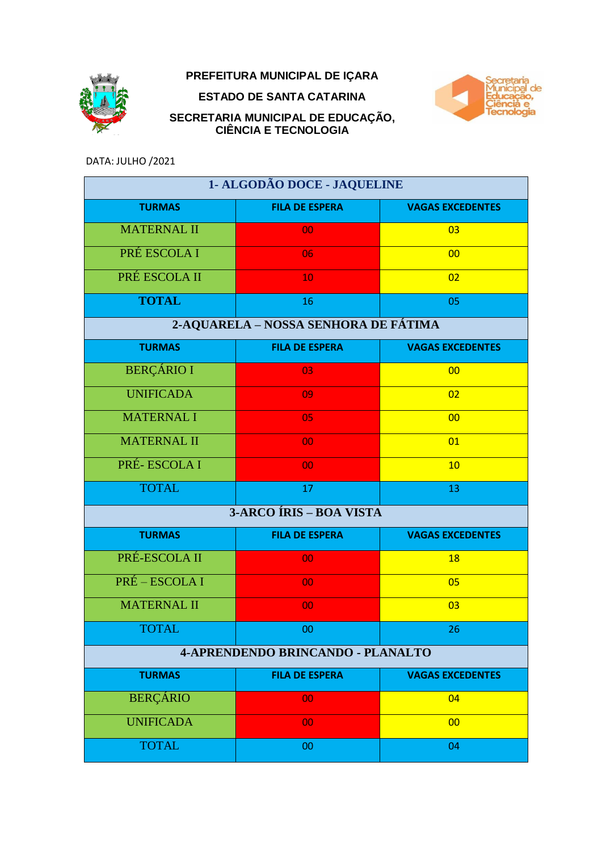

## **PREFEITURA MUNICIPAL DE IÇARA**

**ESTADO DE SANTA CATARINA**



**SECRETARIA MUNICIPAL DE EDUCAÇÃO, CIÊNCIA E TECNOLOGIA**

DATA: JULHO /2021

|                    | 1- ALGODÃO DOCE - JAQUELINE              |                         |
|--------------------|------------------------------------------|-------------------------|
| <b>TURMAS</b>      | <b>FILA DE ESPERA</b>                    | <b>VAGAS EXCEDENTES</b> |
| <b>MATERNAL II</b> | 00                                       | 03                      |
| PRÉ ESCOLA I       | 06                                       | 00                      |
| PRÉ ESCOLA II      | 10                                       | 02                      |
| <b>TOTAL</b>       | 16                                       | 05                      |
|                    | 2-AQUARELA - NOSSA SENHORA DE FÁTIMA     |                         |
| <b>TURMAS</b>      | <b>FILA DE ESPERA</b>                    | <b>VAGAS EXCEDENTES</b> |
| <b>BERÇÁRIO I</b>  | 03                                       | 00                      |
| <b>UNIFICADA</b>   | 09                                       | 02                      |
| <b>MATERNAL I</b>  | 05                                       | 00                      |
| <b>MATERNAL II</b> | 00                                       | 01                      |
| PRÉ-ESCOLA I       | 00                                       | 10                      |
| <b>TOTAL</b>       | 17                                       | 13                      |
|                    | 3-ARCO ÍRIS - BOA VISTA                  |                         |
| <b>TURMAS</b>      | <b>FILA DE ESPERA</b>                    | <b>VAGAS EXCEDENTES</b> |
| PRÉ-ESCOLA II      | 00                                       | <b>18</b>               |
| PRÉ – ESCOLA I     | 00                                       | 05                      |
| <b>MATERNAL II</b> | 00                                       | 03                      |
| <b>TOTAL</b>       | 00                                       | 26                      |
|                    | <b>4-APRENDENDO BRINCANDO - PLANALTO</b> |                         |
| <b>TURMAS</b>      | <b>FILA DE ESPERA</b>                    | <b>VAGAS EXCEDENTES</b> |
| <b>BERÇÁRIO</b>    | 00                                       | 04                      |
| <b>UNIFICADA</b>   | 00                                       | 00                      |
| <b>TOTAL</b>       | 00                                       | 04                      |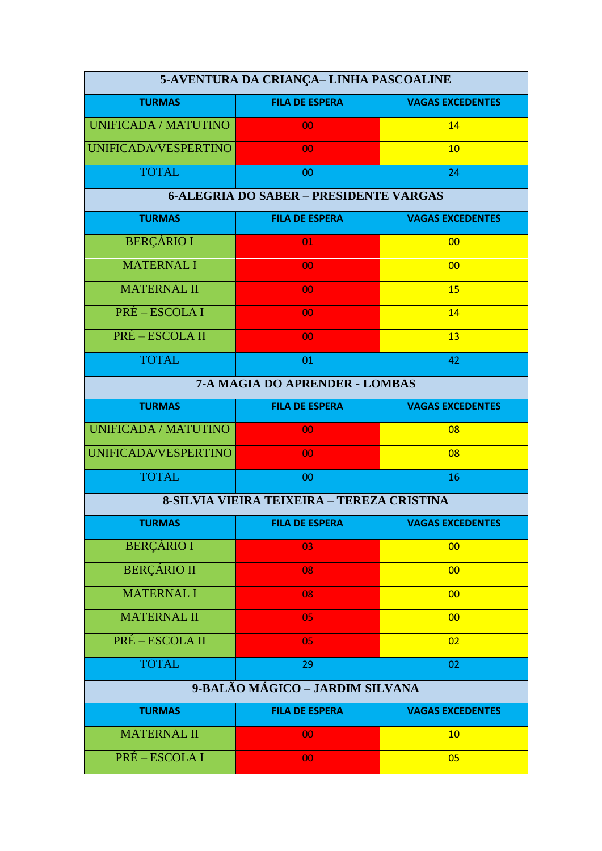| 5-AVENTURA DA CRIANÇA-LINHA PASCOALINE        |                                            |                         |
|-----------------------------------------------|--------------------------------------------|-------------------------|
| <b>TURMAS</b>                                 | <b>FILA DE ESPERA</b>                      | <b>VAGAS EXCEDENTES</b> |
| UNIFICADA / MATUTINO                          | 00                                         | 14                      |
| UNIFICADA/VESPERTINO                          | 00                                         | 10                      |
| <b>TOTAL</b>                                  | 00                                         | 24                      |
| <b>6-ALEGRIA DO SABER - PRESIDENTE VARGAS</b> |                                            |                         |
| <b>TURMAS</b>                                 | <b>FILA DE ESPERA</b>                      | <b>VAGAS EXCEDENTES</b> |
| <b>BERÇÁRIO I</b>                             | 01                                         | 00                      |
| <b>MATERNAL I</b>                             | 00                                         | 00                      |
| <b>MATERNAL II</b>                            | 00                                         | 15                      |
| PRÉ – ESCOLA I                                | 00                                         | 14                      |
| PRÉ – ESCOLA II                               | 00                                         | 13                      |
| <b>TOTAL</b>                                  | 01                                         | 42                      |
|                                               | 7-A MAGIA DO APRENDER - LOMBAS             |                         |
| <b>TURMAS</b>                                 | <b>FILA DE ESPERA</b>                      | <b>VAGAS EXCEDENTES</b> |
| <b>UNIFICADA / MATUTINO</b>                   | 00                                         | 08                      |
| UNIFICADA/VESPERTINO                          | 00                                         | 08                      |
| <b>TOTAL</b>                                  | 00                                         | 16                      |
|                                               | 8-SILVIA VIEIRA TEIXEIRA – TEREZA CRISTINA |                         |
| <b>TURMAS</b>                                 | <b>FILA DE ESPERA</b>                      | <b>VAGAS EXCEDENTES</b> |
| <b>BERÇÁRIO I</b>                             | 03                                         | 00                      |
| <b>BERÇÁRIO II</b>                            | 08                                         | 00                      |
| <b>MATERNAL I</b>                             | 08                                         | 00                      |
| <b>MATERNAL II</b>                            | 05                                         | 00                      |
| PRÉ – ESCOLA II                               | 05                                         | 02                      |
| <b>TOTAL</b>                                  | 29                                         | 02                      |
| 9-BALÃO MÁGICO - JARDIM SILVANA               |                                            |                         |
| <b>TURMAS</b>                                 | <b>FILA DE ESPERA</b>                      | <b>VAGAS EXCEDENTES</b> |
| <b>MATERNAL II</b>                            | 00                                         | 10                      |
| PRÉ – ESCOLA I                                | 00                                         | 05                      |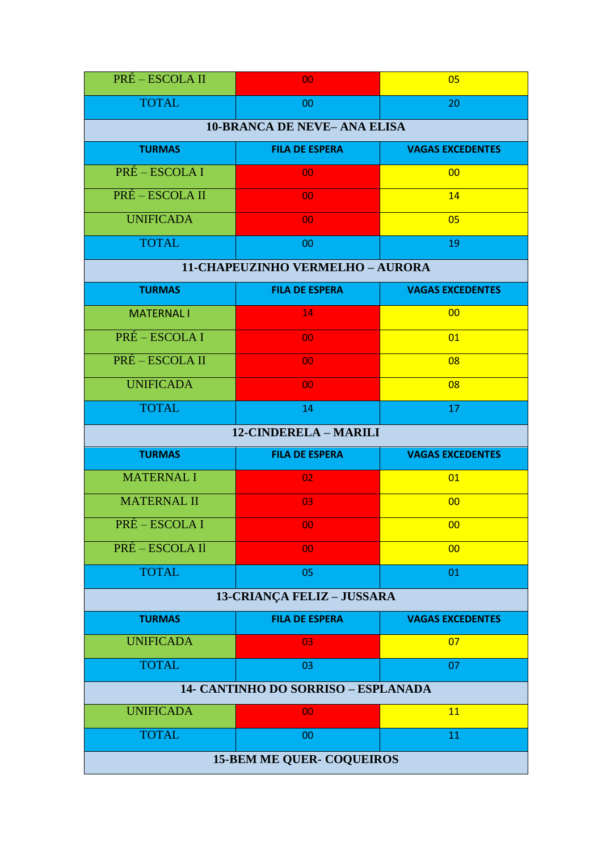| PRÉ – ESCOLA II    | 00                                      | 05                      |
|--------------------|-----------------------------------------|-------------------------|
| <b>TOTAL</b>       | 00                                      | 20                      |
|                    | <b>10-BRANCA DE NEVE-ANA ELISA</b>      |                         |
| <b>TURMAS</b>      | <b>FILA DE ESPERA</b>                   | <b>VAGAS EXCEDENTES</b> |
| PRÉ – ESCOLA I     | 00                                      | 00                      |
| PRÉ – ESCOLA II    | 00                                      | 14                      |
| <b>UNIFICADA</b>   | 00                                      | 05                      |
| <b>TOTAL</b>       | 00                                      | 19                      |
|                    | <b>11-CHAPEUZINHO VERMELHO - AURORA</b> |                         |
| <b>TURMAS</b>      | <b>FILA DE ESPERA</b>                   | <b>VAGAS EXCEDENTES</b> |
| <b>MATERNAL I</b>  | 14                                      | 00                      |
| PRÉ – ESCOLA I     | 00                                      | 01                      |
| PRÉ – ESCOLA II    | 00                                      | 08                      |
| <b>UNIFICADA</b>   | 00                                      | 08                      |
| <b>TOTAL</b>       | 14                                      | 17                      |
|                    | 12-CINDERELA - MARILI                   |                         |
|                    |                                         |                         |
| <b>TURMAS</b>      | <b>FILA DE ESPERA</b>                   | <b>VAGAS EXCEDENTES</b> |
| <b>MATERNAL I</b>  | 02                                      | 01                      |
| <b>MATERNAL II</b> | 03                                      | 00                      |
| PRÉ – ESCOLA I     | 00                                      | 00                      |
| PRÉ – ESCOLA II    | 00                                      | 00                      |
| <b>TOTAL</b>       | 05                                      | 01                      |
|                    | 13-CRIANÇA FELIZ - JUSSARA              |                         |
| <b>TURMAS</b>      | <b>FILA DE ESPERA</b>                   | <b>VAGAS EXCEDENTES</b> |
| <b>UNIFICADA</b>   | 03                                      | 07                      |
| <b>TOTAL</b>       | 03                                      | 07                      |
|                    | 14- CANTINHO DO SORRISO - ESPLANADA     |                         |
| <b>UNIFICADA</b>   | 00                                      | 11                      |
| <b>TOTAL</b>       | 00                                      | 11                      |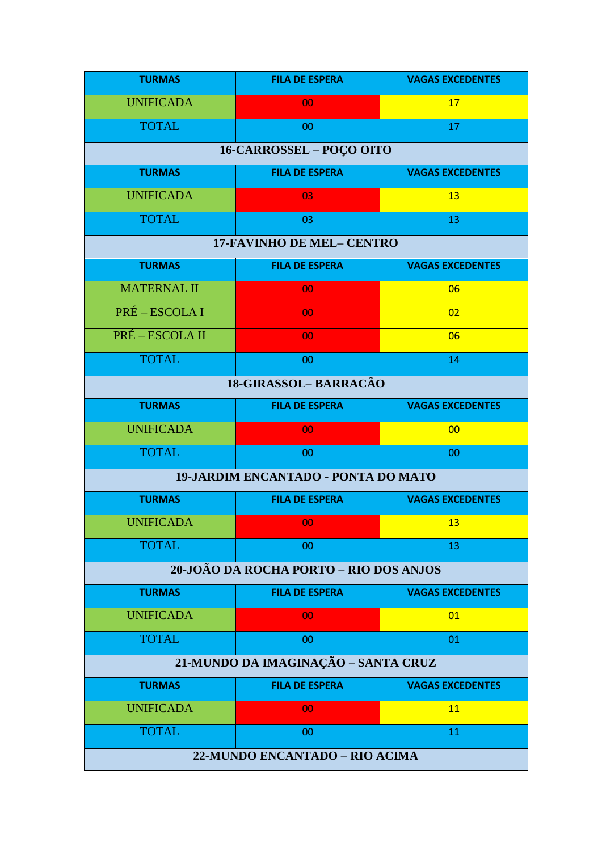| <b>TURMAS</b>      | <b>FILA DE ESPERA</b>                  | <b>VAGAS EXCEDENTES</b> |
|--------------------|----------------------------------------|-------------------------|
| <b>UNIFICADA</b>   | 00                                     | 17                      |
| <b>TOTAL</b>       | 00                                     | 17                      |
|                    | 16-CARROSSEL - POÇO OITO               |                         |
| <b>TURMAS</b>      | <b>FILA DE ESPERA</b>                  | <b>VAGAS EXCEDENTES</b> |
| <b>UNIFICADA</b>   | 03                                     | 13                      |
| <b>TOTAL</b>       | 03                                     | 13                      |
|                    | <b>17-FAVINHO DE MEL- CENTRO</b>       |                         |
| <b>TURMAS</b>      | <b>FILA DE ESPERA</b>                  | <b>VAGAS EXCEDENTES</b> |
| <b>MATERNAL II</b> | 00                                     | 06                      |
| PRÉ – ESCOLA I     | 00                                     | 02                      |
| PRÉ – ESCOLA II    | 00                                     | 06                      |
| <b>TOTAL</b>       | 00                                     | 14                      |
|                    | 18-GIRASSOL-BARRACÃO                   |                         |
| <b>TURMAS</b>      | <b>FILA DE ESPERA</b>                  | <b>VAGAS EXCEDENTES</b> |
| <b>UNIFICADA</b>   | 00                                     | 00                      |
| <b>TOTAL</b>       | 00                                     | 00                      |
|                    | 19-JARDIM ENCANTADO - PONTA DO MATO    |                         |
| <b>TURMAS</b>      | <b>FILA DE ESPERA</b>                  | <b>VAGAS EXCEDENTES</b> |
| <b>UNIFICADA</b>   | 00                                     | 13                      |
| <b>TOTAL</b>       | 00                                     | 13                      |
|                    | 20-JOÃO DA ROCHA PORTO - RIO DOS ANJOS |                         |
| <b>TURMAS</b>      | <b>FILA DE ESPERA</b>                  | <b>VAGAS EXCEDENTES</b> |
| <b>UNIFICADA</b>   | 00                                     | 01                      |
| <b>TOTAL</b>       | 00                                     | 01                      |
|                    | 21-MUNDO DA IMAGINAÇÃO - SANTA CRUZ    |                         |
| <b>TURMAS</b>      | <b>FILA DE ESPERA</b>                  | <b>VAGAS EXCEDENTES</b> |
| <b>UNIFICADA</b>   | 00                                     | 11                      |
| <b>TOTAL</b>       | 00                                     | 11                      |
|                    | 22-MUNDO ENCANTADO - RIO ACIMA         |                         |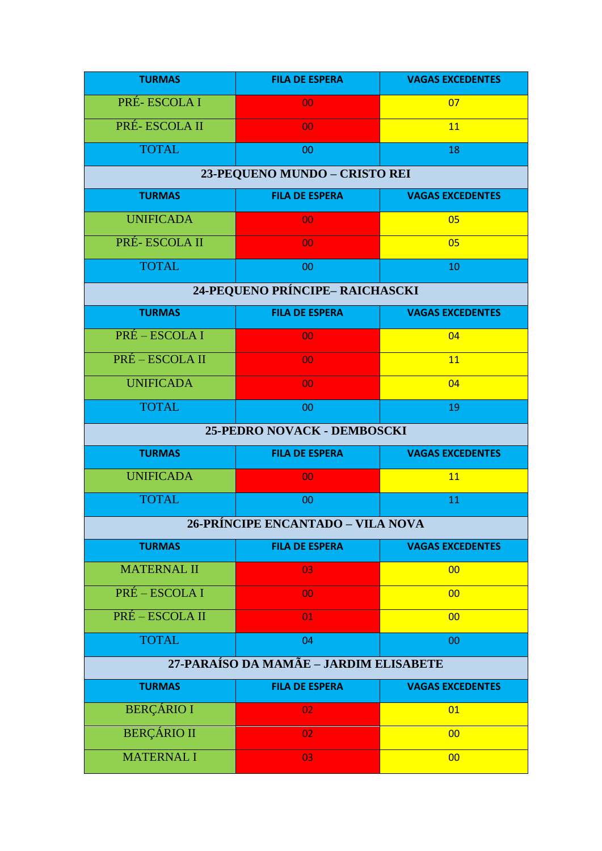| <b>TURMAS</b>               | <b>FILA DE ESPERA</b>                  | <b>VAGAS EXCEDENTES</b> |
|-----------------------------|----------------------------------------|-------------------------|
| PRÉ-ESCOLAI                 | 00 <sub>1</sub>                        | 07                      |
| PRÉ-ESCOLA II               | 00                                     | <b>11</b>               |
| <b>TOTAL</b>                | 00                                     | 18                      |
|                             | 23-PEQUENO MUNDO - CRISTO REI          |                         |
| <b>TURMAS</b>               | <b>FILA DE ESPERA</b>                  | <b>VAGAS EXCEDENTES</b> |
| <b>UNIFICADA</b>            | 00                                     | 05                      |
| PRÉ-ESCOLA II               | 00                                     | 05                      |
| <b>TOTAL</b>                | 00                                     | 10                      |
|                             | 24-PEQUENO PRÍNCIPE- RAICHASCKI        |                         |
| <b>TURMAS</b>               | <b>FILA DE ESPERA</b>                  | <b>VAGAS EXCEDENTES</b> |
| PRÉ – ESCOLA I              | 00                                     | 04                      |
| PRÉ – ESCOLA II             | 00                                     | 11                      |
| <b>UNIFICADA</b>            | 00                                     | 04                      |
| <b>TOTAL</b>                | 00                                     | 19                      |
| 25-PEDRO NOVACK - DEMBOSCKI |                                        |                         |
|                             |                                        |                         |
| <b>TURMAS</b>               | <b>FILA DE ESPERA</b>                  | <b>VAGAS EXCEDENTES</b> |
| <b>UNIFICADA</b>            | 00                                     | 11                      |
| <b>TOTAL</b>                | 00                                     | 11                      |
|                             | 26-PRÍNCIPE ENCANTADO - VILA NOVA      |                         |
| <b>TURMAS</b>               | <b>FILA DE ESPERA</b>                  | <b>VAGAS EXCEDENTES</b> |
| <b>MATERNAL II</b>          | 03                                     | 00                      |
| PRÉ – ESCOLA I              | 00                                     | 00                      |
| PRÉ – ESCOLA II             | 01                                     | 00                      |
| <b>TOTAL</b>                | 04                                     | 00                      |
|                             | 27-PARAÍSO DA MAMÃE - JARDIM ELISABETE |                         |
| <b>TURMAS</b>               | <b>FILA DE ESPERA</b>                  | <b>VAGAS EXCEDENTES</b> |
| <b>BERÇÁRIO I</b>           | 02                                     | 01                      |
| <b>BERÇÁRIO II</b>          | 02                                     | 00                      |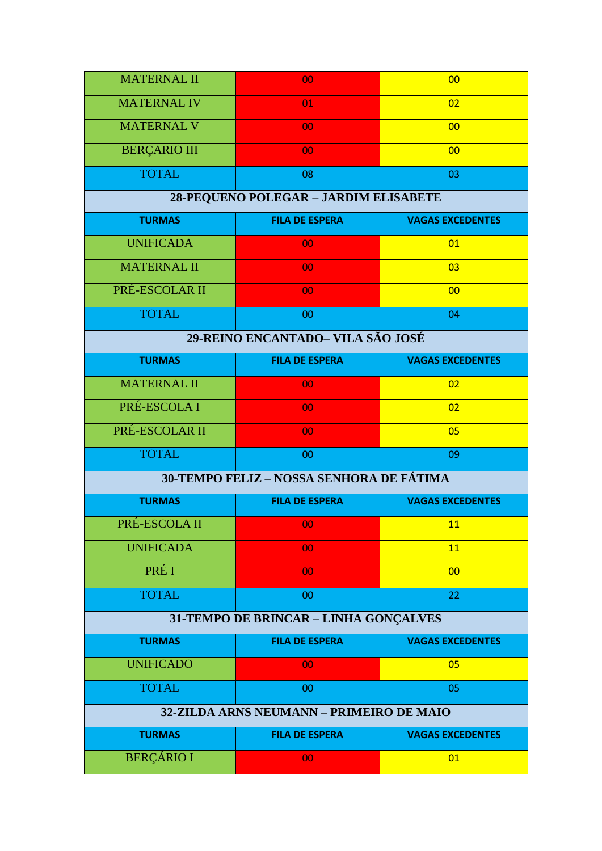| <b>MATERNAL II</b>                       | 00                                       | 00                      |
|------------------------------------------|------------------------------------------|-------------------------|
| <b>MATERNAL IV</b>                       | 01                                       | 02                      |
| <b>MATERNAL V</b>                        | 00                                       | 00                      |
| <b>BERÇARIO III</b>                      | 00                                       | 00                      |
| <b>TOTAL</b>                             | 08                                       | 03                      |
|                                          | 28-PEQUENO POLEGAR - JARDIM ELISABETE    |                         |
| <b>TURMAS</b>                            | <b>FILA DE ESPERA</b>                    | <b>VAGAS EXCEDENTES</b> |
| <b>UNIFICADA</b>                         | 00                                       | 01                      |
| <b>MATERNAL II</b>                       | 00                                       | 03                      |
| PRÉ-ESCOLAR II                           | 00                                       | 00                      |
| <b>TOTAL</b>                             | 00                                       | 04                      |
|                                          | 29-REINO ENCANTADO-VILA SÃO JOSÉ         |                         |
| <b>TURMAS</b>                            | <b>FILA DE ESPERA</b>                    | <b>VAGAS EXCEDENTES</b> |
| <b>MATERNAL II</b>                       | 00                                       | 02                      |
| PRÉ-ESCOLA I                             | 00                                       | 02                      |
| PRÉ-ESCOLAR II                           | 00                                       | 05                      |
| <b>TOTAL</b>                             | 00                                       | 09                      |
|                                          | 30-TEMPO FELIZ - NOSSA SENHORA DE FÁTIMA |                         |
| <b>TURMAS</b>                            | <b>FILA DE ESPERA</b>                    | <b>VAGAS EXCEDENTES</b> |
| PRÉ-ESCOLA II                            | 00                                       | 11                      |
| <b>UNIFICADA</b>                         | 00                                       | 11                      |
| PRÉ I                                    | 00                                       | 00                      |
| <b>TOTAL</b>                             | 00                                       | 22                      |
|                                          | 31-TEMPO DE BRINCAR - LINHA GONÇALVES    |                         |
| <b>TURMAS</b>                            | <b>FILA DE ESPERA</b>                    | <b>VAGAS EXCEDENTES</b> |
| <b>UNIFICADO</b>                         | 00                                       | 05                      |
| <b>TOTAL</b>                             | 00                                       | 05                      |
| 32-ZILDA ARNS NEUMANN - PRIMEIRO DE MAIO |                                          |                         |
| <b>TURMAS</b>                            | <b>FILA DE ESPERA</b>                    | <b>VAGAS EXCEDENTES</b> |
| <b>BERÇÁRIO I</b>                        | 00                                       | 01                      |